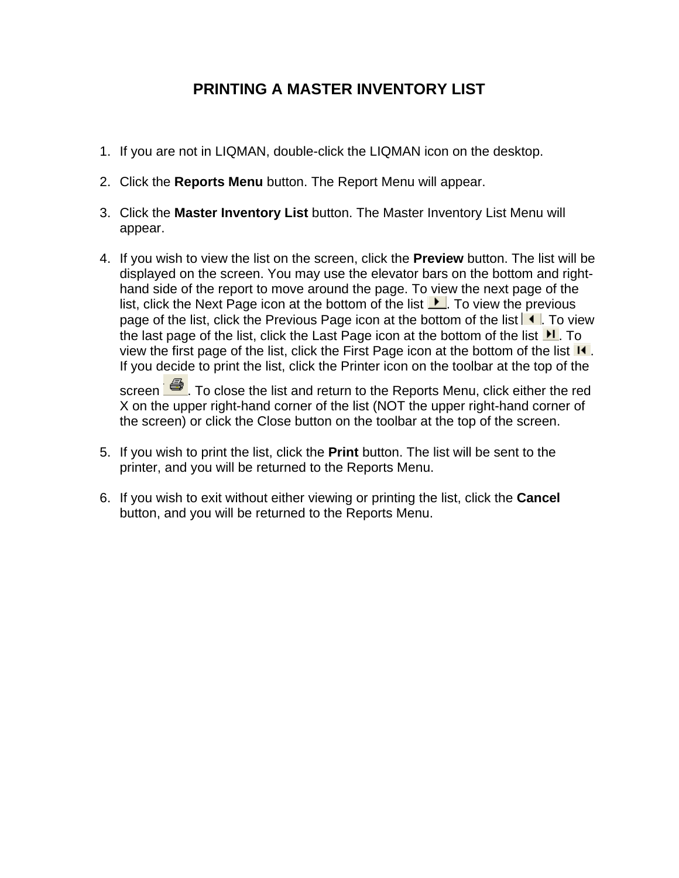# **PRINTING A MASTER INVENTORY LIST**

- 1. If you are not in LIQMAN, double-click the LIQMAN icon on the desktop.
- 2. Click the **Reports Menu** button. The Report Menu will appear.
- 3. Click the **Master Inventory List** button. The Master Inventory List Menu will appear.
- 4. If you wish to view the list on the screen, click the **Preview** button. The list will be displayed on the screen. You may use the elevator bars on the bottom and righthand side of the report to move around the page. To view the next page of the list, click the Next Page icon at the bottom of the list  $\blacktriangleright$ . To view the previous page of the list, click the Previous Page icon at the bottom of the list  $\blacksquare$ . To view the last page of the list, click the Last Page icon at the bottom of the list  $\mathbf{H}$ . To view the first page of the list, click the First Page icon at the bottom of the list  $\mathsf{I}$ . If you decide to print the list, click the Printer icon on the toolbar at the top of the

screen  $\blacksquare$ . To close the list and return to the Reports Menu, click either the red X on the upper right-hand corner of the list (NOT the upper right-hand corner of the screen) or click the Close button on the toolbar at the top of the screen.

- 5. If you wish to print the list, click the **Print** button. The list will be sent to the printer, and you will be returned to the Reports Menu.
- 6. If you wish to exit without either viewing or printing the list, click the **Cancel** button, and you will be returned to the Reports Menu.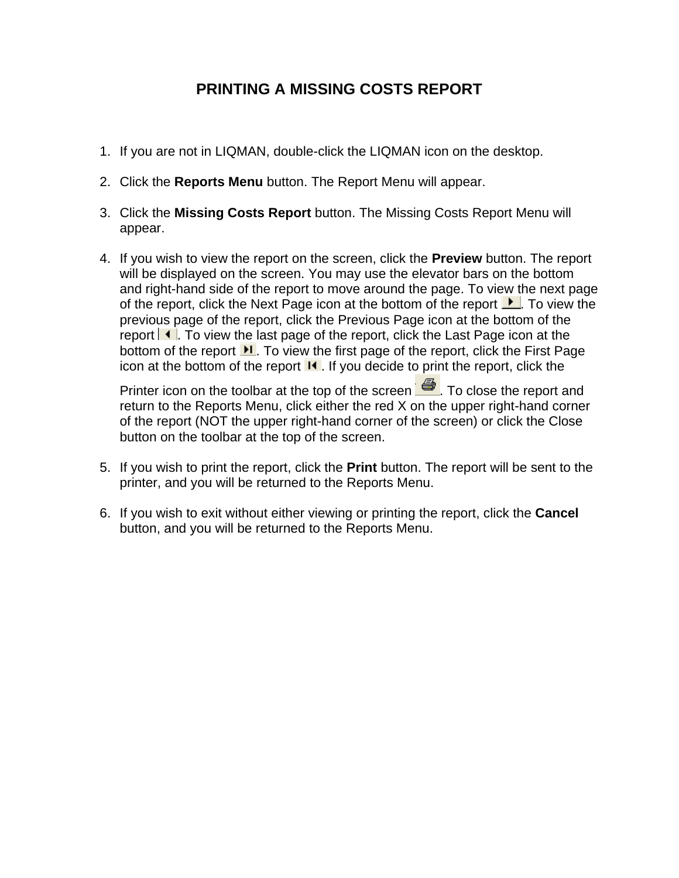# **PRINTING A MISSING COSTS REPORT**

- 1. If you are not in LIQMAN, double-click the LIQMAN icon on the desktop.
- 2. Click the **Reports Menu** button. The Report Menu will appear.
- 3. Click the **Missing Costs Report** button. The Missing Costs Report Menu will appear.
- 4. If you wish to view the report on the screen, click the **Preview** button. The report will be displayed on the screen. You may use the elevator bars on the bottom and right-hand side of the report to move around the page. To view the next page of the report, click the Next Page icon at the bottom of the report  $\blacktriangleright$ . To view the previous page of the report, click the Previous Page icon at the bottom of the report  $\blacksquare$ . To view the last page of the report, click the Last Page icon at the bottom of the report  $\mathbf{H}$ . To view the first page of the report, click the First Page icon at the bottom of the report  $\mathbf{I}$ . If you decide to print the report, click the

Printer icon on the toolbar at the top of the screen  $\Box$  To close the report and return to the Reports Menu, click either the red X on the upper right-hand corner of the report (NOT the upper right-hand corner of the screen) or click the Close button on the toolbar at the top of the screen.

- 5. If you wish to print the report, click the **Print** button. The report will be sent to the printer, and you will be returned to the Reports Menu.
- 6. If you wish to exit without either viewing or printing the report, click the **Cancel** button, and you will be returned to the Reports Menu.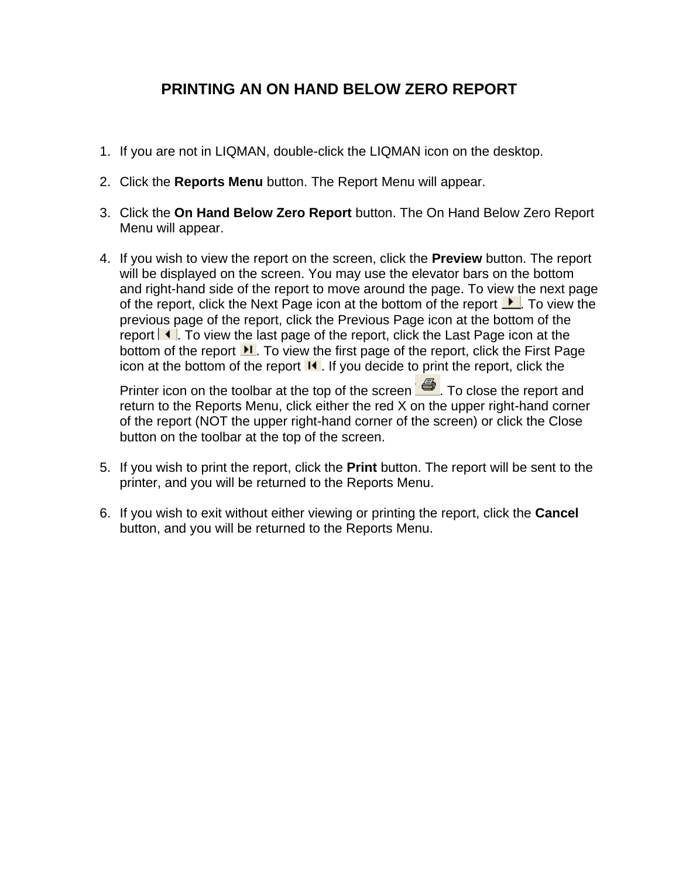## **PRINTING AN ON HAND BELOW ZERO REPORT**

- 1. If you are not in LIQMAN, double-click the LIQMAN icon on the desktop.
- 2. Click the **Reports Menu** button. The Report Menu will appear.
- 3. Click the **On Hand Below Zero Report** button. The On Hand Below Zero Report Menu will appear.
- 4. If you wish to view the report on the screen, click the **Preview** button. The report will be displayed on the screen. You may use the elevator bars on the bottom and right-hand side of the report to move around the page. To view the next page of the report, click the Next Page icon at the bottom of the report  $\blacktriangleright$ . To view the previous page of the report, click the Previous Page icon at the bottom of the report  $\blacksquare$ . To view the last page of the report, click the Last Page icon at the bottom of the report  $\mathbf{H}$ . To view the first page of the report, click the First Page icon at the bottom of the report  $\mathbf{I}$ . If you decide to print the report, click the

Printer icon on the toolbar at the top of the screen  $\Box$  To close the report and return to the Reports Menu, click either the red X on the upper right-hand corner of the report (NOT the upper right-hand corner of the screen) or click the Close button on the toolbar at the top of the screen.

- 5. If you wish to print the report, click the **Print** button. The report will be sent to the printer, and you will be returned to the Reports Menu.
- 6. If you wish to exit without either viewing or printing the report, click the **Cancel** button, and you will be returned to the Reports Menu.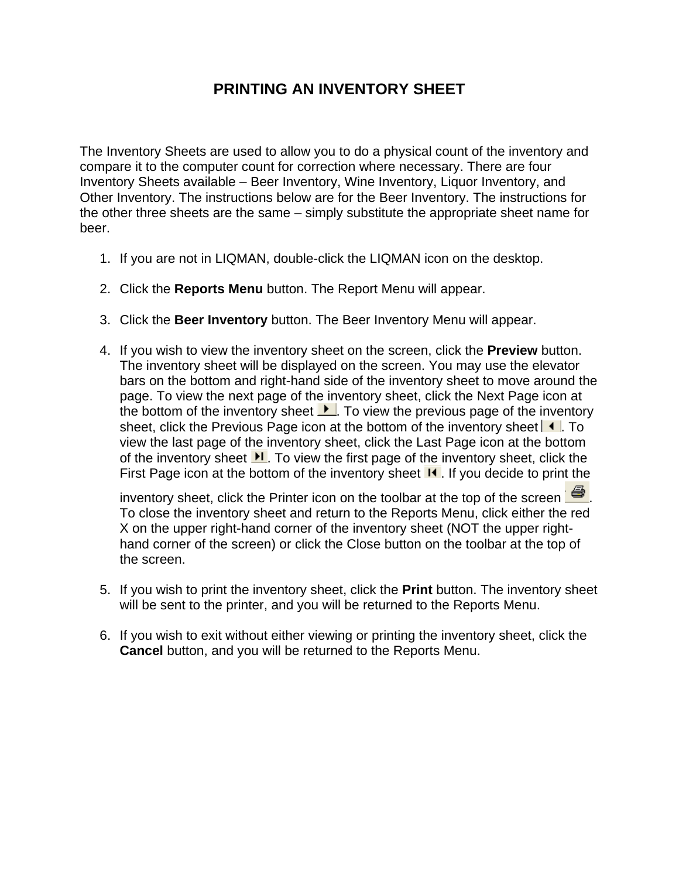## **PRINTING AN INVENTORY SHEET**

The Inventory Sheets are used to allow you to do a physical count of the inventory and compare it to the computer count for correction where necessary. There are four Inventory Sheets available – Beer Inventory, Wine Inventory, Liquor Inventory, and Other Inventory. The instructions below are for the Beer Inventory. The instructions for the other three sheets are the same – simply substitute the appropriate sheet name for beer.

- 1. If you are not in LIQMAN, double-click the LIQMAN icon on the desktop.
- 2. Click the **Reports Menu** button. The Report Menu will appear.
- 3. Click the **Beer Inventory** button. The Beer Inventory Menu will appear.
- 4. If you wish to view the inventory sheet on the screen, click the **Preview** button. The inventory sheet will be displayed on the screen. You may use the elevator bars on the bottom and right-hand side of the inventory sheet to move around the page. To view the next page of the inventory sheet, click the Next Page icon at the bottom of the inventory sheet  $\blacktriangleright$ . To view the previous page of the inventory sheet, click the Previous Page icon at the bottom of the inventory sheet  $\blacksquare$ . To view the last page of the inventory sheet, click the Last Page icon at the bottom of the inventory sheet  $\mathbf{H}$ . To view the first page of the inventory sheet, click the First Page icon at the bottom of the inventory sheet  $\blacksquare$ . If you decide to print the

inventory sheet, click the Printer icon on the toolbar at the top of the screen  $\mathbb{R}$ . To close the inventory sheet and return to the Reports Menu, click either the red X on the upper right-hand corner of the inventory sheet (NOT the upper righthand corner of the screen) or click the Close button on the toolbar at the top of the screen.

- 5. If you wish to print the inventory sheet, click the **Print** button. The inventory sheet will be sent to the printer, and you will be returned to the Reports Menu.
- 6. If you wish to exit without either viewing or printing the inventory sheet, click the **Cancel** button, and you will be returned to the Reports Menu.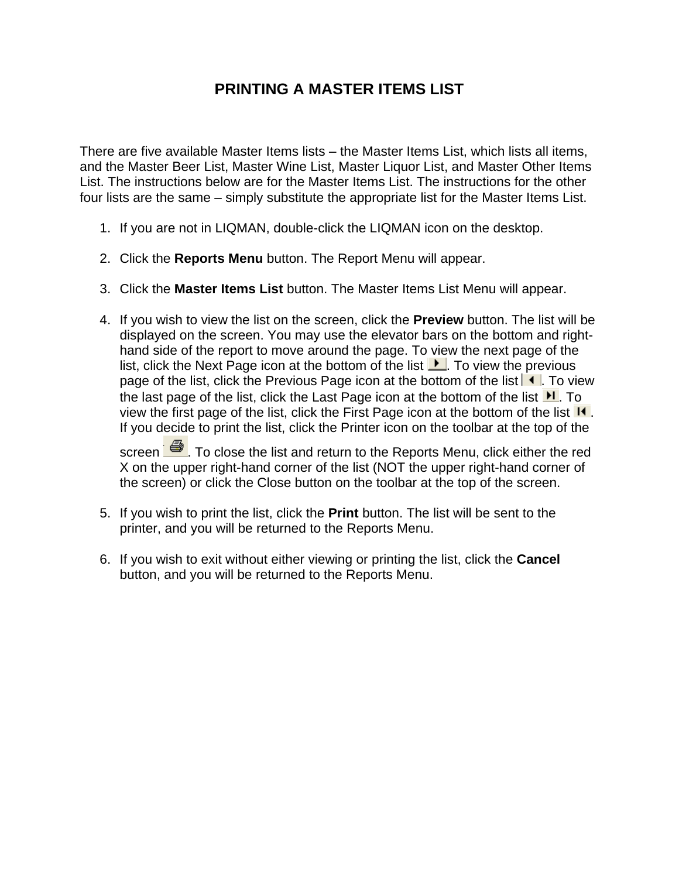#### **PRINTING A MASTER ITEMS LIST**

There are five available Master Items lists – the Master Items List, which lists all items, and the Master Beer List, Master Wine List, Master Liquor List, and Master Other Items List. The instructions below are for the Master Items List. The instructions for the other four lists are the same – simply substitute the appropriate list for the Master Items List.

- 1. If you are not in LIQMAN, double-click the LIQMAN icon on the desktop.
- 2. Click the **Reports Menu** button. The Report Menu will appear.
- 3. Click the **Master Items List** button. The Master Items List Menu will appear.
- 4. If you wish to view the list on the screen, click the **Preview** button. The list will be displayed on the screen. You may use the elevator bars on the bottom and righthand side of the report to move around the page. To view the next page of the list, click the Next Page icon at the bottom of the list  $\blacktriangleright$ . To view the previous page of the list, click the Previous Page icon at the bottom of the list  $\blacksquare$ . To view the last page of the list, click the Last Page icon at the bottom of the list  $\mathbf{H}$ . To view the first page of the list, click the First Page icon at the bottom of the list  $\mathsf{I}$ . If you decide to print the list, click the Printer icon on the toolbar at the top of the

screen  $\Box$  To close the list and return to the Reports Menu, click either the red X on the upper right-hand corner of the list (NOT the upper right-hand corner of the screen) or click the Close button on the toolbar at the top of the screen.

- 5. If you wish to print the list, click the **Print** button. The list will be sent to the printer, and you will be returned to the Reports Menu.
- 6. If you wish to exit without either viewing or printing the list, click the **Cancel** button, and you will be returned to the Reports Menu.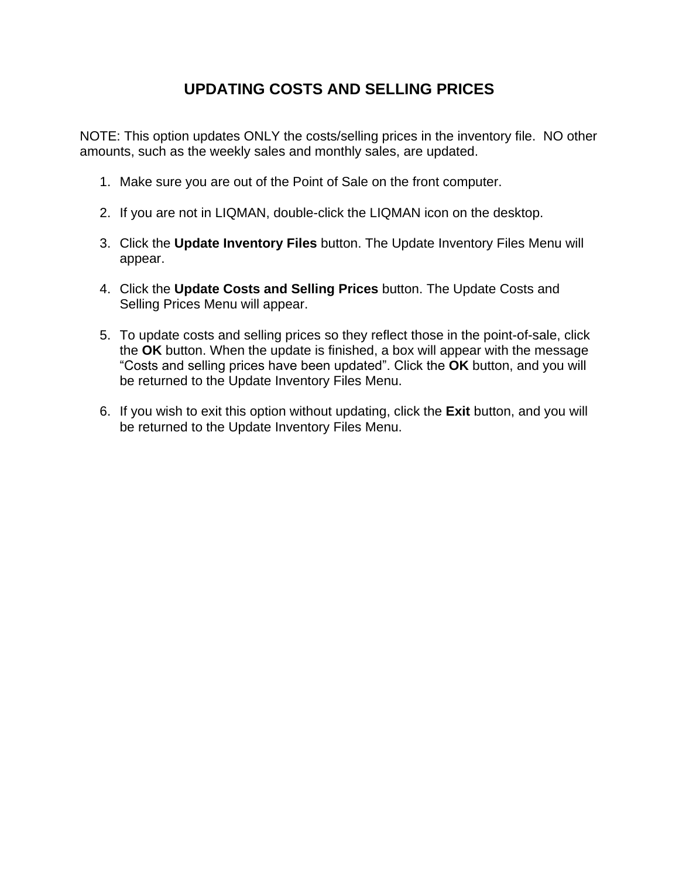# **UPDATING COSTS AND SELLING PRICES**

NOTE: This option updates ONLY the costs/selling prices in the inventory file. NO other amounts, such as the weekly sales and monthly sales, are updated.

- 1. Make sure you are out of the Point of Sale on the front computer.
- 2. If you are not in LIQMAN, double-click the LIQMAN icon on the desktop.
- 3. Click the **Update Inventory Files** button. The Update Inventory Files Menu will appear.
- 4. Click the **Update Costs and Selling Prices** button. The Update Costs and Selling Prices Menu will appear.
- 5. To update costs and selling prices so they reflect those in the point-of-sale, click the **OK** button. When the update is finished, a box will appear with the message "Costs and selling prices have been updated". Click the **OK** button, and you will be returned to the Update Inventory Files Menu.
- 6. If you wish to exit this option without updating, click the **Exit** button, and you will be returned to the Update Inventory Files Menu.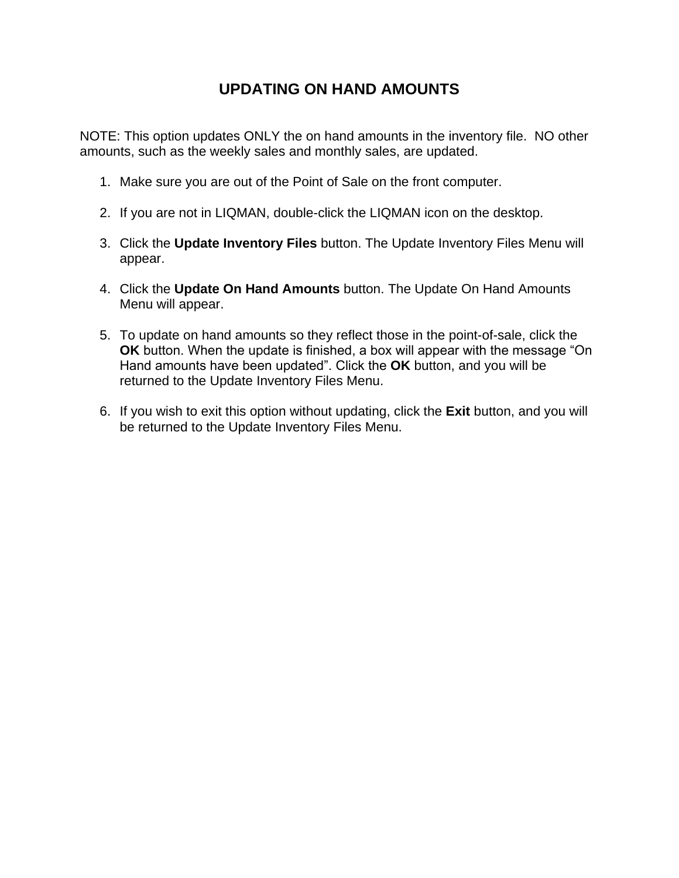# **UPDATING ON HAND AMOUNTS**

NOTE: This option updates ONLY the on hand amounts in the inventory file. NO other amounts, such as the weekly sales and monthly sales, are updated.

- 1. Make sure you are out of the Point of Sale on the front computer.
- 2. If you are not in LIQMAN, double-click the LIQMAN icon on the desktop.
- 3. Click the **Update Inventory Files** button. The Update Inventory Files Menu will appear.
- 4. Click the **Update On Hand Amounts** button. The Update On Hand Amounts Menu will appear.
- 5. To update on hand amounts so they reflect those in the point-of-sale, click the **OK** button. When the update is finished, a box will appear with the message "On Hand amounts have been updated". Click the **OK** button, and you will be returned to the Update Inventory Files Menu.
- 6. If you wish to exit this option without updating, click the **Exit** button, and you will be returned to the Update Inventory Files Menu.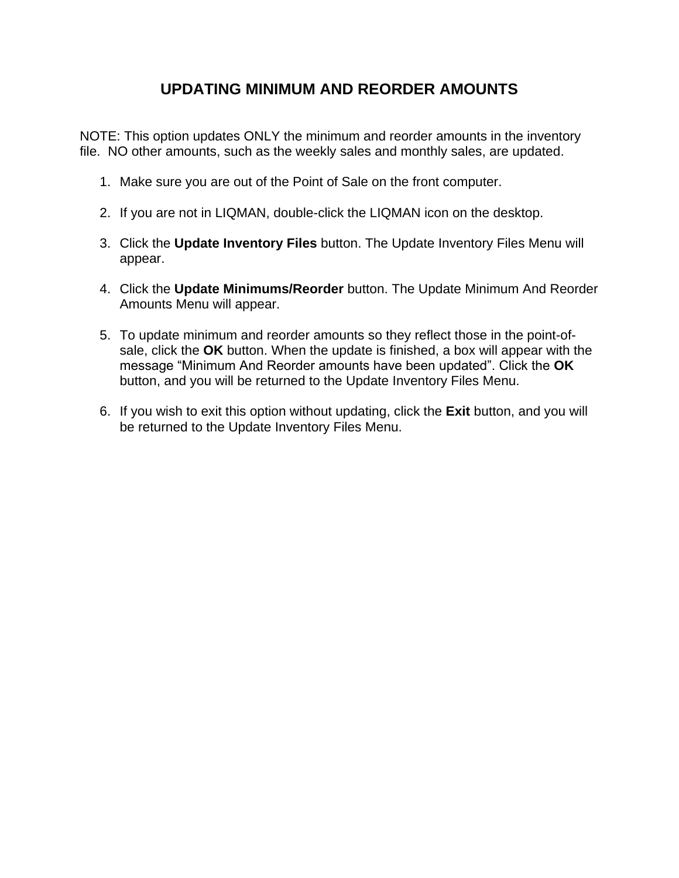## **UPDATING MINIMUM AND REORDER AMOUNTS**

NOTE: This option updates ONLY the minimum and reorder amounts in the inventory file. NO other amounts, such as the weekly sales and monthly sales, are updated.

- 1. Make sure you are out of the Point of Sale on the front computer.
- 2. If you are not in LIQMAN, double-click the LIQMAN icon on the desktop.
- 3. Click the **Update Inventory Files** button. The Update Inventory Files Menu will appear.
- 4. Click the **Update Minimums/Reorder** button. The Update Minimum And Reorder Amounts Menu will appear.
- 5. To update minimum and reorder amounts so they reflect those in the point-ofsale, click the **OK** button. When the update is finished, a box will appear with the message "Minimum And Reorder amounts have been updated". Click the **OK** button, and you will be returned to the Update Inventory Files Menu.
- 6. If you wish to exit this option without updating, click the **Exit** button, and you will be returned to the Update Inventory Files Menu.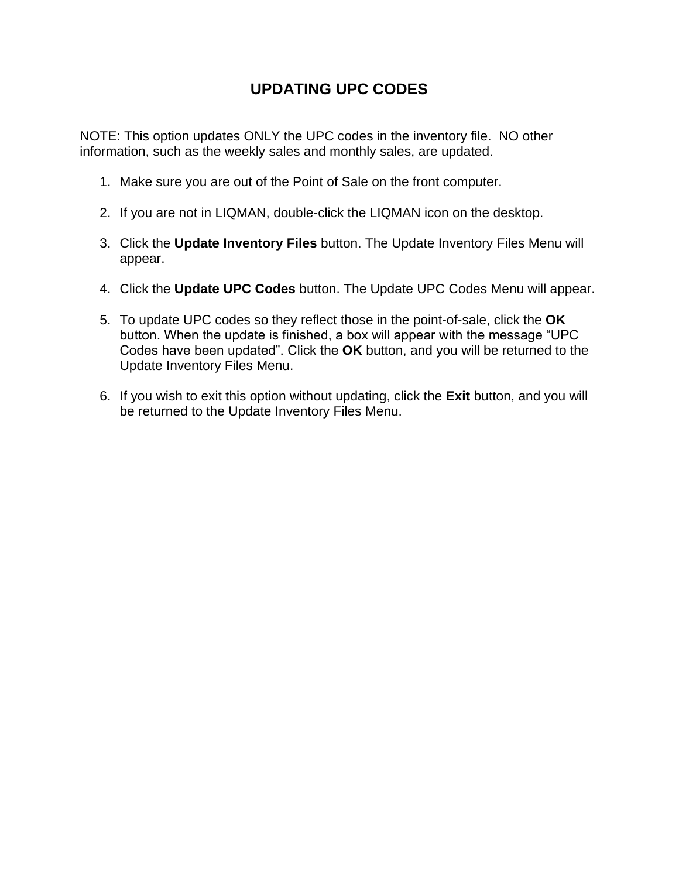# **UPDATING UPC CODES**

NOTE: This option updates ONLY the UPC codes in the inventory file. NO other information, such as the weekly sales and monthly sales, are updated.

- 1. Make sure you are out of the Point of Sale on the front computer.
- 2. If you are not in LIQMAN, double-click the LIQMAN icon on the desktop.
- 3. Click the **Update Inventory Files** button. The Update Inventory Files Menu will appear.
- 4. Click the **Update UPC Codes** button. The Update UPC Codes Menu will appear.
- 5. To update UPC codes so they reflect those in the point-of-sale, click the **OK** button. When the update is finished, a box will appear with the message "UPC Codes have been updated". Click the **OK** button, and you will be returned to the Update Inventory Files Menu.
- 6. If you wish to exit this option without updating, click the **Exit** button, and you will be returned to the Update Inventory Files Menu.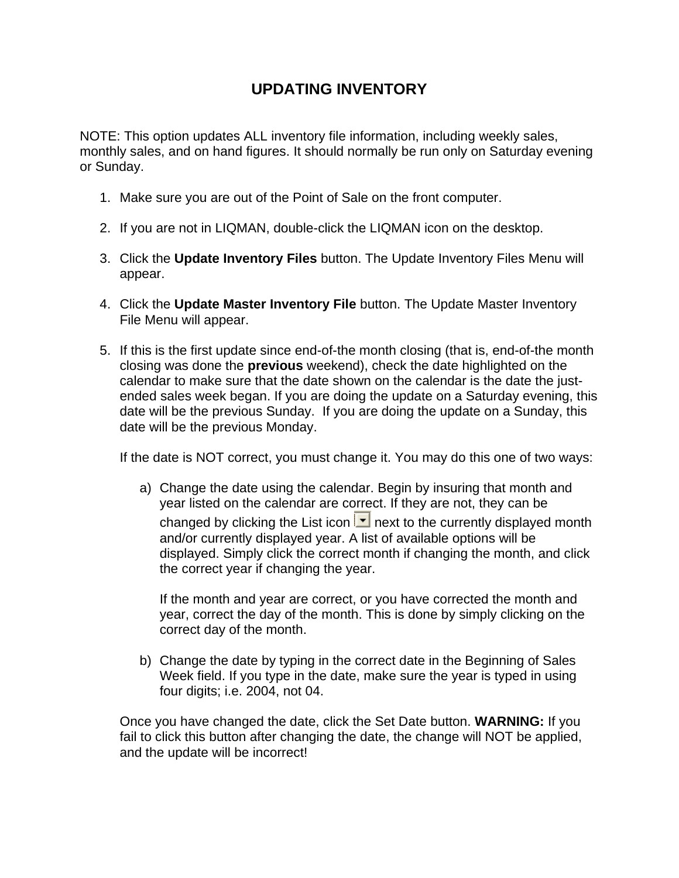# **UPDATING INVENTORY**

NOTE: This option updates ALL inventory file information, including weekly sales, monthly sales, and on hand figures. It should normally be run only on Saturday evening or Sunday.

- 1. Make sure you are out of the Point of Sale on the front computer.
- 2. If you are not in LIQMAN, double-click the LIQMAN icon on the desktop.
- 3. Click the **Update Inventory Files** button. The Update Inventory Files Menu will appear.
- 4. Click the **Update Master Inventory File** button. The Update Master Inventory File Menu will appear.
- 5. If this is the first update since end-of-the month closing (that is, end-of-the month closing was done the **previous** weekend), check the date highlighted on the calendar to make sure that the date shown on the calendar is the date the justended sales week began. If you are doing the update on a Saturday evening, this date will be the previous Sunday. If you are doing the update on a Sunday, this date will be the previous Monday.

If the date is NOT correct, you must change it. You may do this one of two ways:

a) Change the date using the calendar. Begin by insuring that month and year listed on the calendar are correct. If they are not, they can be changed by clicking the List icon  $\mathbf{r}$  next to the currently displayed month and/or currently displayed year. A list of available options will be displayed. Simply click the correct month if changing the month, and click the correct year if changing the year.

If the month and year are correct, or you have corrected the month and year, correct the day of the month. This is done by simply clicking on the correct day of the month.

b) Change the date by typing in the correct date in the Beginning of Sales Week field. If you type in the date, make sure the year is typed in using four digits; i.e. 2004, not 04.

Once you have changed the date, click the Set Date button. **WARNING:** If you fail to click this button after changing the date, the change will NOT be applied, and the update will be incorrect!